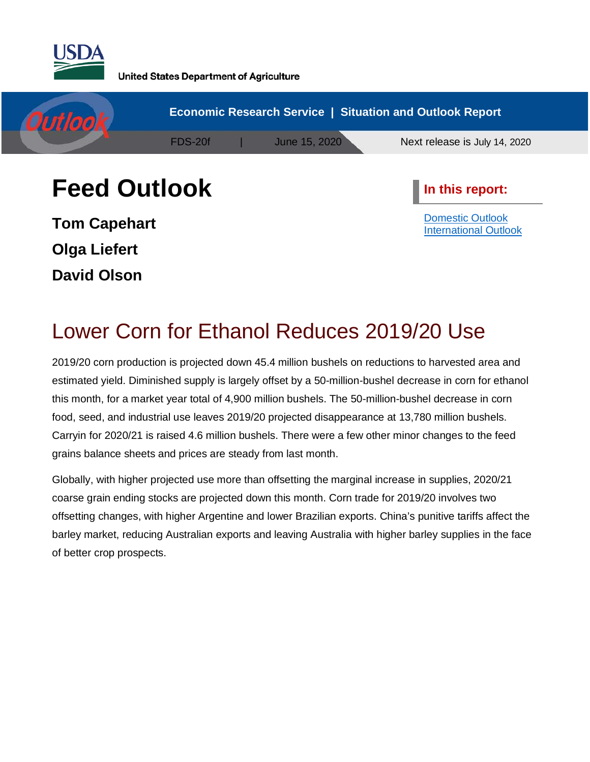



**Tom Capehart Olga Liefert David Olson**

[Domestic](#page-1-0) Outlook [International](#page-10-0) Outlook

# Lower Corn for Ethanol Reduces 2019/20 Use

2019/20 corn production is projected down 45.4 million bushels on reductions to harvested area and estimated yield. Diminished supply is largely offset by a 50-million-bushel decrease in corn for ethanol this month, for a market year total of 4,900 million bushels. The 50-million-bushel decrease in corn food, seed, and industrial use leaves 2019/20 projected disappearance at 13,780 million bushels. Carryin for 2020/21 is raised 4.6 million bushels. There were a few other minor changes to the feed grains balance sheets and prices are steady from last month.

Globally, with higher projected use more than offsetting the marginal increase in supplies, 2020/21 coarse grain ending stocks are projected down this month. Corn trade for 2019/20 involves two offsetting changes, with higher Argentine and lower Brazilian exports. China's punitive tariffs affect the barley market, reducing Australian exports and leaving Australia with higher barley supplies in the face of better crop prospects.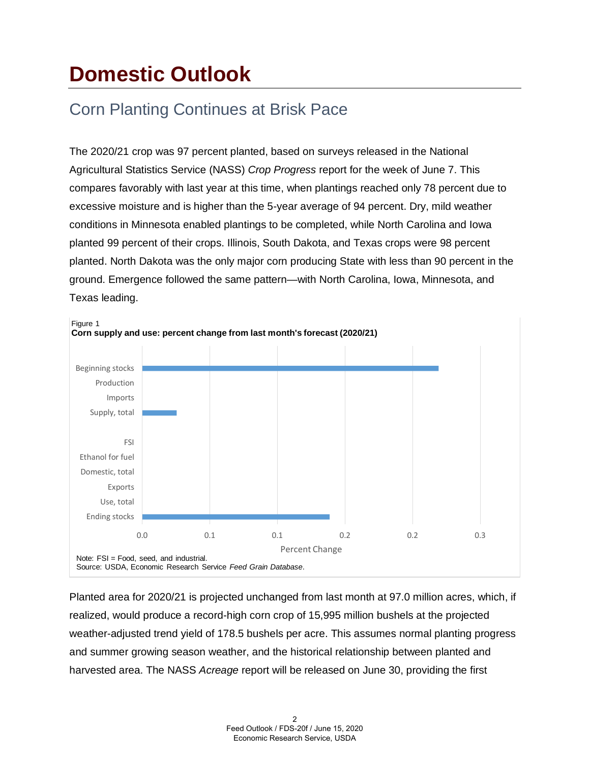# <span id="page-1-0"></span>**Domestic Outlook**

# Corn Planting Continues at Brisk Pace

The 2020/21 crop was 97 percent planted, based on surveys released in the National Agricultural Statistics Service (NASS) *Crop Progress* report for the week of June 7. This compares favorably with last year at this time, when plantings reached only 78 percent due to excessive moisture and is higher than the 5-year average of 94 percent. Dry, mild weather conditions in Minnesota enabled plantings to be completed, while North Carolina and Iowa planted 99 percent of their crops. Illinois, South Dakota, and Texas crops were 98 percent planted. North Dakota was the only major corn producing State with less than 90 percent in the ground. Emergence followed the same pattern—with North Carolina, Iowa, Minnesota, and Texas leading.



Planted area for 2020/21 is projected unchanged from last month at 97.0 million acres, which, if realized, would produce a record-high corn crop of 15,995 million bushels at the projected weather-adjusted trend yield of 178.5 bushels per acre. This assumes normal planting progress and summer growing season weather, and the historical relationship between planted and harvested area. The NASS *Acreage* report will be released on June 30, providing the first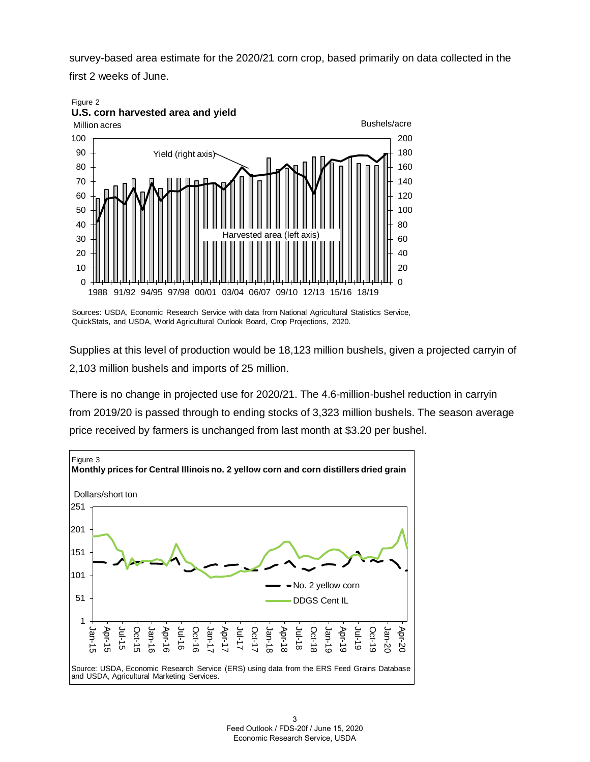survey-based area estimate for the 2020/21 corn crop, based primarily on data collected in the first 2 weeks of June.





Sources: USDA, Economic Research Service with data from National Agricultural Statistics Service, QuickStats, and USDA, World Agricultural Outlook Board, Crop Projections, 2020.

Supplies at this level of production would be 18,123 million bushels, given a projected carryin of 2,103 million bushels and imports of 25 million.

There is no change in projected use for 2020/21. The 4.6-million-bushel reduction in carryin from 2019/20 is passed through to ending stocks of 3,323 million bushels. The season average price received by farmers is unchanged from last month at \$3.20 per bushel.

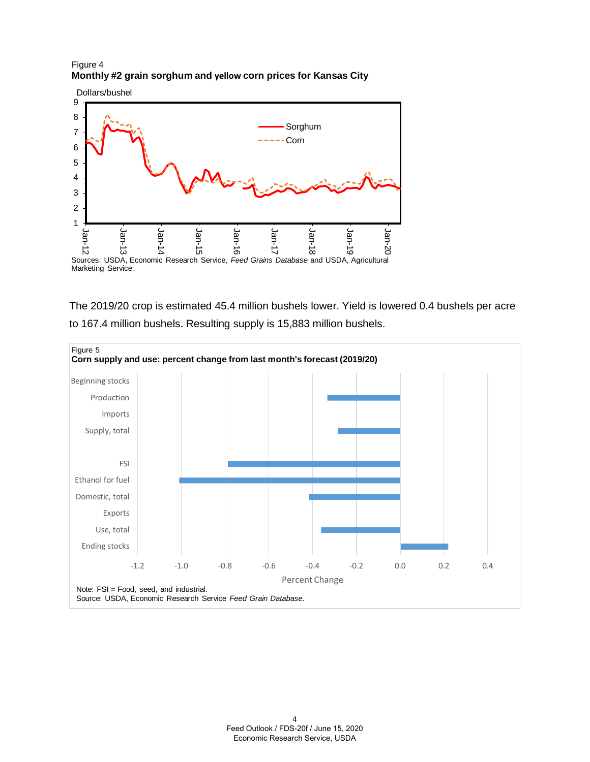#### Figure 4 **Monthly #2 grain sorghum and yellow corn prices for Kansas City**



The 2019/20 crop is estimated 45.4 million bushels lower. Yield is lowered 0.4 bushels per acre to 167.4 million bushels. Resulting supply is 15,883 million bushels.

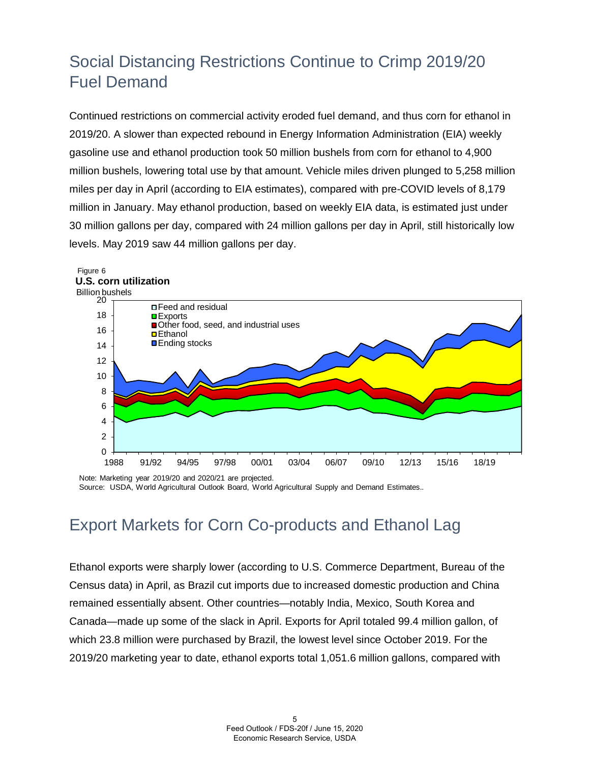# Social Distancing Restrictions Continue to Crimp 2019/20 Fuel Demand

Continued restrictions on commercial activity eroded fuel demand, and thus corn for ethanol in 2019/20. A slower than expected rebound in Energy Information Administration (EIA) weekly gasoline use and ethanol production took 50 million bushels from corn for ethanol to 4,900 million bushels, lowering total use by that amount. Vehicle miles driven plunged to 5,258 million miles per day in April (according to EIA estimates), compared with pre-COVID levels of 8,179 million in January. May ethanol production, based on weekly EIA data, is estimated just under 30 million gallons per day, compared with 24 million gallons per day in April, still historically low levels. May 2019 saw 44 million gallons per day.



Note: Marketing year 2019/20 and 2020/21 are projected. Source: USDA, World Agricultural Outlook Board, World Agricultural Supply and Demand Estimates.*.* 

# Export Markets for Corn Co-products and Ethanol Lag

Ethanol exports were sharply lower (according to U.S. Commerce Department, Bureau of the Census data) in April, as Brazil cut imports due to increased domestic production and China remained essentially absent. Other countries—notably India, Mexico, South Korea and Canada—made up some of the slack in April. Exports for April totaled 99.4 million gallon, of which 23.8 million were purchased by Brazil, the lowest level since October 2019. For the 2019/20 marketing year to date, ethanol exports total 1,051.6 million gallons, compared with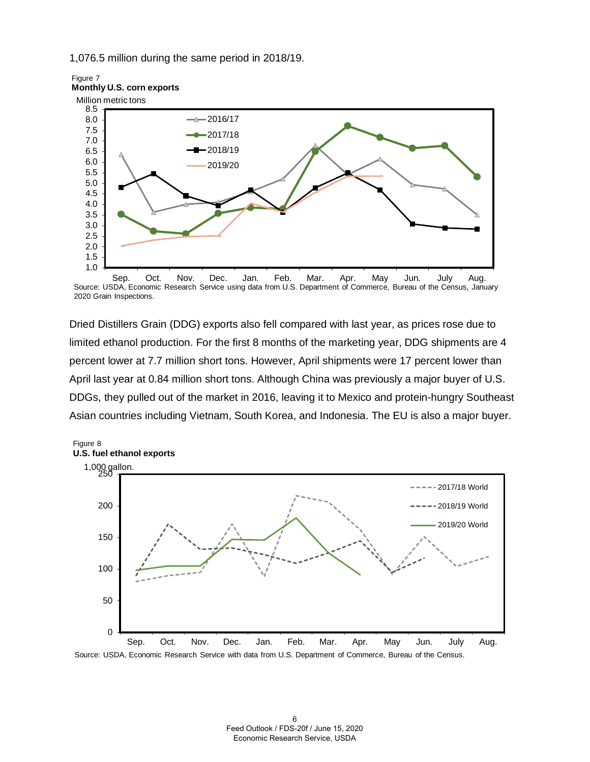1,076.5 million during the same period in 2018/19.





Source: USDA, Economic Research Service using data from U.S. Department of Commerce, Bureau of the Census, January 2020 Grain Inspections.

Dried Distillers Grain (DDG) exports also fell compared with last year, as prices rose due to limited ethanol production. For the first 8 months of the marketing year, DDG shipments are 4 percent lower at 7.7 million short tons. However, April shipments were 17 percent lower than April last year at 0.84 million short tons. Although China was previously a major buyer of U.S. DDGs, they pulled out of the market in 2016, leaving it to Mexico and protein-hungry Southeast Asian countries including Vietnam, South Korea, and Indonesia. The EU is also a major buyer.



Source: USDA, Economic Research Service with data from U.S. Department of Commerce, Bureau of the Census.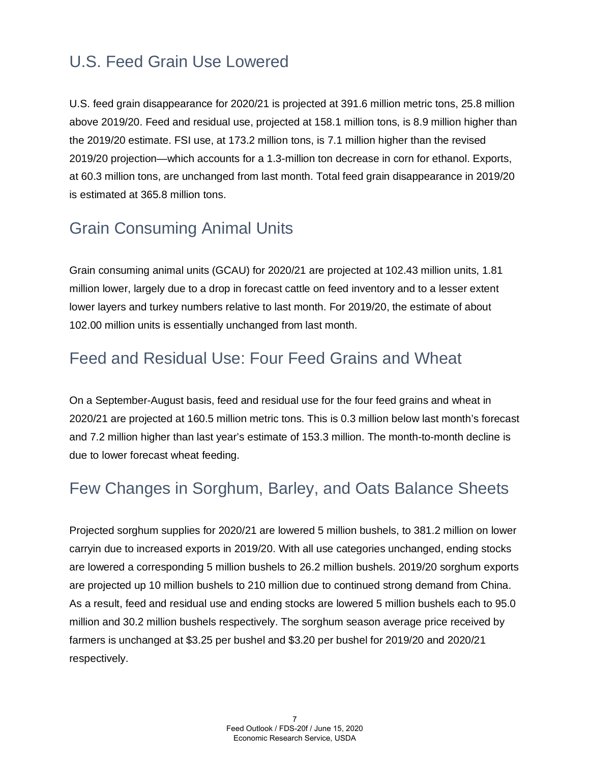# U.S. Feed Grain Use Lowered

U.S. feed grain disappearance for 2020/21 is projected at 391.6 million metric tons, 25.8 million above 2019/20. Feed and residual use, projected at 158.1 million tons, is 8.9 million higher than the 2019/20 estimate. FSI use, at 173.2 million tons, is 7.1 million higher than the revised 2019/20 projection—which accounts for a 1.3-million ton decrease in corn for ethanol. Exports, at 60.3 million tons, are unchanged from last month. Total feed grain disappearance in 2019/20 is estimated at 365.8 million tons.

# Grain Consuming Animal Units

Grain consuming animal units (GCAU) for 2020/21 are projected at 102.43 million units, 1.81 million lower, largely due to a drop in forecast cattle on feed inventory and to a lesser extent lower layers and turkey numbers relative to last month. For 2019/20, the estimate of about 102.00 million units is essentially unchanged from last month.

#### Feed and Residual Use: Four Feed Grains and Wheat

On a September-August basis, feed and residual use for the four feed grains and wheat in 2020/21 are projected at 160.5 million metric tons. This is 0.3 million below last month's forecast and 7.2 million higher than last year's estimate of 153.3 million. The month-to-month decline is due to lower forecast wheat feeding.

# Few Changes in Sorghum, Barley, and Oats Balance Sheets

Projected sorghum supplies for 2020/21 are lowered 5 million bushels, to 381.2 million on lower carryin due to increased exports in 2019/20. With all use categories unchanged, ending stocks are lowered a corresponding 5 million bushels to 26.2 million bushels. 2019/20 sorghum exports are projected up 10 million bushels to 210 million due to continued strong demand from China. As a result, feed and residual use and ending stocks are lowered 5 million bushels each to 95.0 million and 30.2 million bushels respectively. The sorghum season average price received by farmers is unchanged at \$3.25 per bushel and \$3.20 per bushel for 2019/20 and 2020/21 respectively.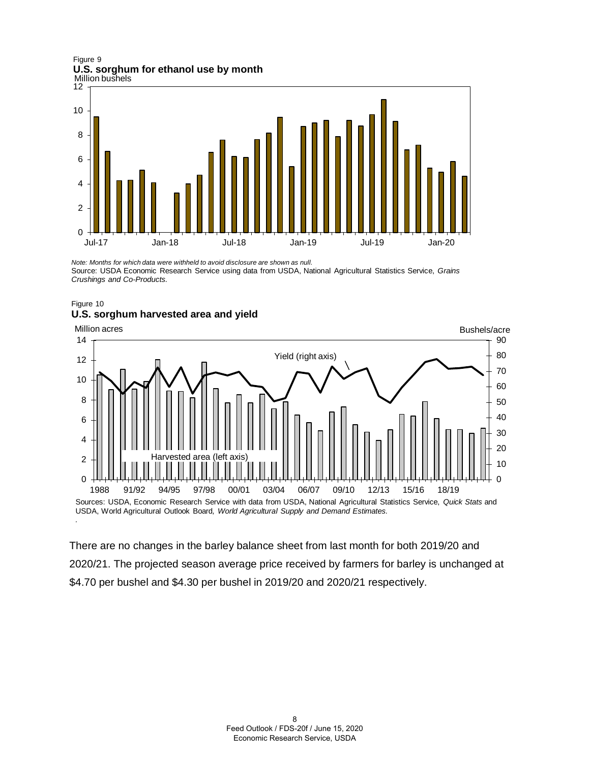Million bushels Figure 9 **U.S. sorghum for ethanol use by month**



*Note: Months for which data were withheld to avoid disclosure are shown as null.* Source: USDA Economic Research Service using data from USDA, National Agricultural Statistics Service, *Grains Crushings and Co-Products.* 





There are no changes in the barley balance sheet from last month for both 2019/20 and 2020/21. The projected season average price received by farmers for barley is unchanged at \$4.70 per bushel and \$4.30 per bushel in 2019/20 and 2020/21 respectively.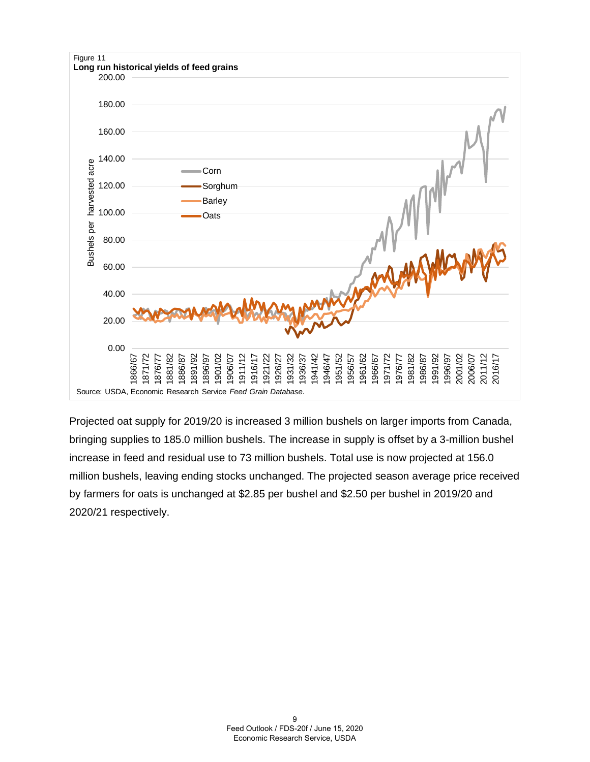

Projected oat supply for 2019/20 is increased 3 million bushels on larger imports from Canada, bringing supplies to 185.0 million bushels. The increase in supply is offset by a 3-million bushel increase in feed and residual use to 73 million bushels. Total use is now projected at 156.0 million bushels, leaving ending stocks unchanged. The projected season average price received by farmers for oats is unchanged at \$2.85 per bushel and \$2.50 per bushel in 2019/20 and 2020/21 respectively.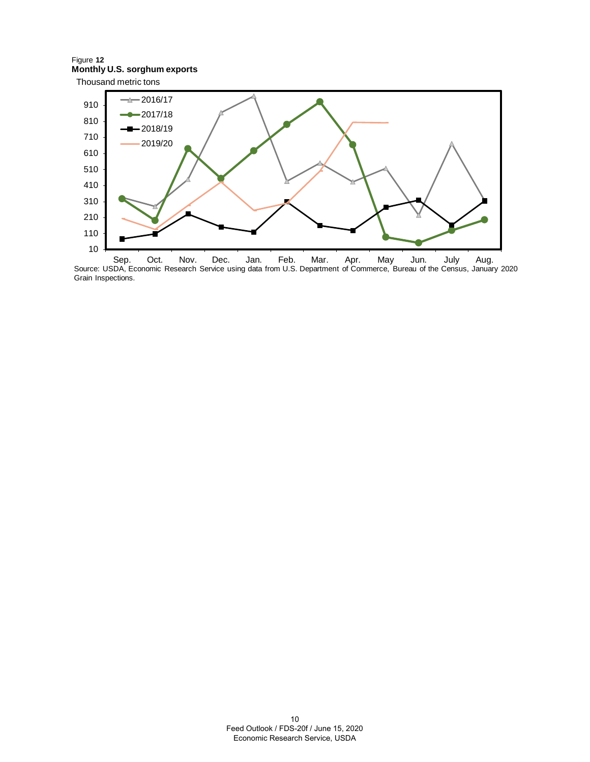Thousand metric tons Figure **12 Monthly U.S. sorghum exports**



Source: USDA, Economic Research Service using data from U.S. Department of Commerce, Bureau of the Census, January 2020 Grain Inspections.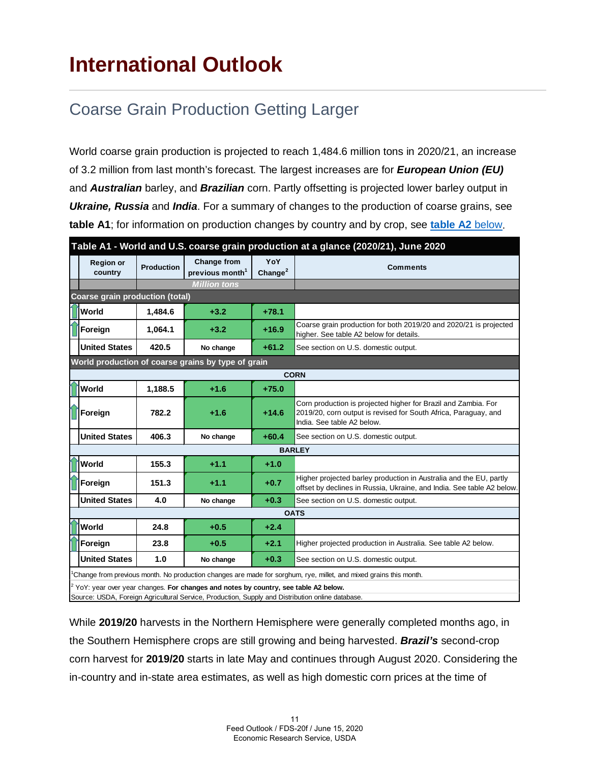# <span id="page-10-0"></span>**International Outlook**

# Coarse Grain Production Getting Larger

World coarse grain production is projected to reach 1,484.6 million tons in 2020/21, an increase of 3.2 million from last month's forecast. The largest increases are for *European Union (EU)* and *Australian* barley, and *Brazilian* corn. Partly offsetting is projected lower barley output in *Ukraine, Russia* and *India*. For a summary of changes to the production of coarse grains, see **table A1**; for information on production changes by country and by crop, see **[table A2](#page-12-0)** below.

| Table A1 - World and U.S. coarse grain production at a glance (2020/21), June 2020               |                                                                                                                                |                   |                                                   |                    |                                                                                                                                                                 |  |  |  |  |
|--------------------------------------------------------------------------------------------------|--------------------------------------------------------------------------------------------------------------------------------|-------------------|---------------------------------------------------|--------------------|-----------------------------------------------------------------------------------------------------------------------------------------------------------------|--|--|--|--|
|                                                                                                  | <b>Region or</b><br>country                                                                                                    | <b>Production</b> | <b>Change from</b><br>previous month <sup>1</sup> | YoY<br>Change $^2$ | <b>Comments</b>                                                                                                                                                 |  |  |  |  |
|                                                                                                  |                                                                                                                                |                   | <b>Million tons</b>                               |                    |                                                                                                                                                                 |  |  |  |  |
| <b>Coarse grain production (total)</b>                                                           |                                                                                                                                |                   |                                                   |                    |                                                                                                                                                                 |  |  |  |  |
|                                                                                                  | <b>Norld</b>                                                                                                                   | 1.484.6           | $+3.2$                                            | $+78.1$            |                                                                                                                                                                 |  |  |  |  |
|                                                                                                  | Foreign                                                                                                                        | 1.064.1           | $+3.2$                                            | $+16.9$            | Coarse grain production for both 2019/20 and 2020/21 is projected<br>higher. See table A2 below for details.                                                    |  |  |  |  |
|                                                                                                  | <b>United States</b>                                                                                                           | 420.5             | No change                                         | $+61.2$            | See section on U.S. domestic output.                                                                                                                            |  |  |  |  |
| World production of coarse grains by type of grain                                               |                                                                                                                                |                   |                                                   |                    |                                                                                                                                                                 |  |  |  |  |
|                                                                                                  |                                                                                                                                |                   |                                                   |                    | <b>CORN</b>                                                                                                                                                     |  |  |  |  |
|                                                                                                  | İWorld                                                                                                                         | 1,188.5           | $+1.6$                                            | $+75.0$            |                                                                                                                                                                 |  |  |  |  |
|                                                                                                  | <b>TForeign</b>                                                                                                                | 782.2             | $+1.6$                                            | $+14.6$            | Corn production is projected higher for Brazil and Zambia. For<br>2019/20, corn output is revised for South Africa, Paraguay, and<br>India. See table A2 below. |  |  |  |  |
|                                                                                                  | <b>United States</b>                                                                                                           | 406.3             | No change                                         | $+60.4$            | See section on U.S. domestic output.                                                                                                                            |  |  |  |  |
| <b>BARLEY</b>                                                                                    |                                                                                                                                |                   |                                                   |                    |                                                                                                                                                                 |  |  |  |  |
|                                                                                                  | <b>World</b>                                                                                                                   | 155.3             | $+1.1$                                            | $+1.0$             |                                                                                                                                                                 |  |  |  |  |
|                                                                                                  | Foreign                                                                                                                        | 151.3             | $+1.1$                                            | $+0.7$             | Higher projected barley production in Australia and the EU, partly<br>offset by declines in Russia, Ukraine, and India. See table A2 below.                     |  |  |  |  |
|                                                                                                  | <b>United States</b>                                                                                                           | 4.0               | No change                                         | $+0.3$             | See section on U.S. domestic output.                                                                                                                            |  |  |  |  |
| <b>OATS</b>                                                                                      |                                                                                                                                |                   |                                                   |                    |                                                                                                                                                                 |  |  |  |  |
|                                                                                                  | World                                                                                                                          | 24.8              | $+0.5$                                            | $+2.4$             |                                                                                                                                                                 |  |  |  |  |
|                                                                                                  | Foreign                                                                                                                        | 23.8              | $+0.5$                                            | $+2.1$             | Higher projected production in Australia. See table A2 below.                                                                                                   |  |  |  |  |
|                                                                                                  | <b>United States</b>                                                                                                           | 1.0               | No change                                         | $+0.3$             | See section on U.S. domestic output.                                                                                                                            |  |  |  |  |
|                                                                                                  | <sup>1</sup> Change from previous month. No production changes are made for sorghum, rye, millet, and mixed grains this month. |                   |                                                   |                    |                                                                                                                                                                 |  |  |  |  |
|                                                                                                  | $2$ YoY: year over year changes. For changes and notes by country, see table A2 below.                                         |                   |                                                   |                    |                                                                                                                                                                 |  |  |  |  |
| Source: USDA, Foreign Agricultural Service, Production, Supply and Distribution online database. |                                                                                                                                |                   |                                                   |                    |                                                                                                                                                                 |  |  |  |  |

While **2019/20** harvests in the Northern Hemisphere were generally completed months ago, in the Southern Hemisphere crops are still growing and being harvested. *Brazil's* second-crop corn harvest for **2019/20** starts in late May and continues through August 2020. Considering the in-country and in-state area estimates, as well as high domestic corn prices at the time of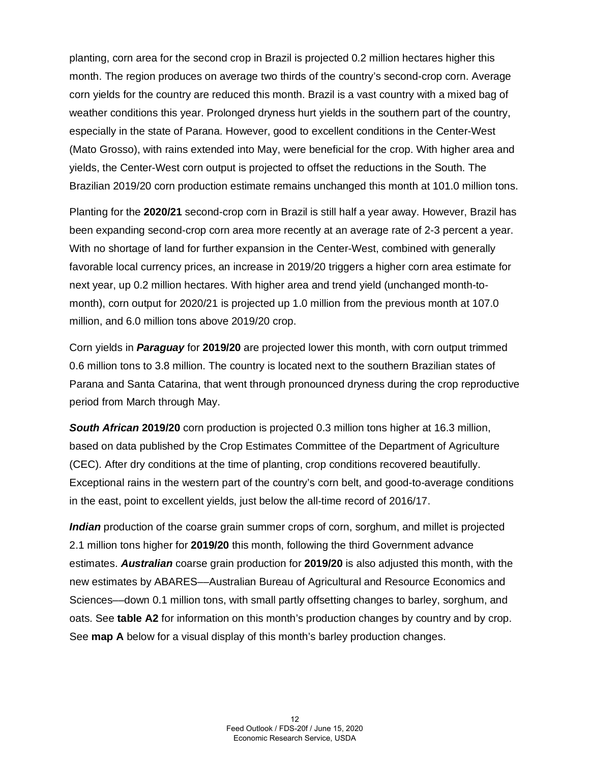planting, corn area for the second crop in Brazil is projected 0.2 million hectares higher this month. The region produces on average two thirds of the country's second-crop corn. Average corn yields for the country are reduced this month. Brazil is a vast country with a mixed bag of weather conditions this year. Prolonged dryness hurt yields in the southern part of the country, especially in the state of Parana. However, good to excellent conditions in the Center-West (Mato Grosso), with rains extended into May, were beneficial for the crop. With higher area and yields, the Center-West corn output is projected to offset the reductions in the South. The Brazilian 2019/20 corn production estimate remains unchanged this month at 101.0 million tons.

Planting for the **2020/21** second-crop corn in Brazil is still half a year away. However, Brazil has been expanding second-crop corn area more recently at an average rate of 2-3 percent a year. With no shortage of land for further expansion in the Center-West, combined with generally favorable local currency prices, an increase in 2019/20 triggers a higher corn area estimate for next year, up 0.2 million hectares. With higher area and trend yield (unchanged month-tomonth), corn output for 2020/21 is projected up 1.0 million from the previous month at 107.0 million, and 6.0 million tons above 2019/20 crop.

Corn yields in *Paraguay* for **2019/20** are projected lower this month, with corn output trimmed 0.6 million tons to 3.8 million. The country is located next to the southern Brazilian states of Parana and Santa Catarina, that went through pronounced dryness during the crop reproductive period from March through May.

*South African* **2019/20** corn production is projected 0.3 million tons higher at 16.3 million, based on data published by the Crop Estimates Committee of the Department of Agriculture (CEC). After dry conditions at the time of planting, crop conditions recovered beautifully. Exceptional rains in the western part of the country's corn belt, and good-to-average conditions in the east, point to excellent yields, just below the all-time record of 2016/17.

*Indian* production of the coarse grain summer crops of corn, sorghum, and millet is projected 2.1 million tons higher for **2019/20** this month, following the third Government advance estimates. *Australian* coarse grain production for **2019/20** is also adjusted this month, with the new estimates by ABARES––Australian Bureau of Agricultural and Resource Economics and Sciences––down 0.1 million tons, with small partly offsetting changes to barley, sorghum, and oats. See **table A2** for information on this month's production changes by country and by crop. See **map A** below for a visual display of this month's barley production changes.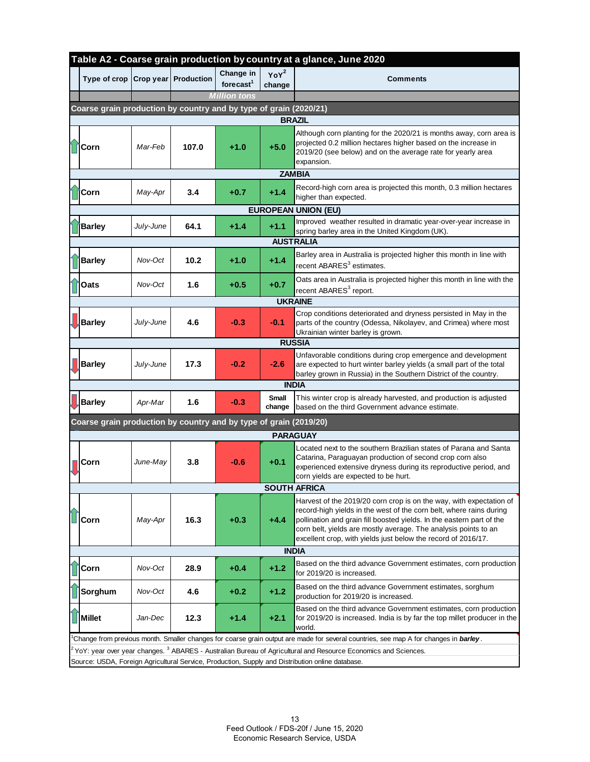<span id="page-12-0"></span>

| Table A2 - Coarse grain production by country at a glance, June 2020                                                                   |                                                                   |           |       |                                    |                            |                                                                                                                                                                                                                                                                                                                                                         |  |  |  |
|----------------------------------------------------------------------------------------------------------------------------------------|-------------------------------------------------------------------|-----------|-------|------------------------------------|----------------------------|---------------------------------------------------------------------------------------------------------------------------------------------------------------------------------------------------------------------------------------------------------------------------------------------------------------------------------------------------------|--|--|--|
|                                                                                                                                        | Type of crop Crop year Production                                 |           |       | Change in<br>forecast <sup>1</sup> | YoY <sup>2</sup><br>change | <b>Comments</b>                                                                                                                                                                                                                                                                                                                                         |  |  |  |
|                                                                                                                                        |                                                                   |           |       | <b>Million tons</b>                |                            |                                                                                                                                                                                                                                                                                                                                                         |  |  |  |
|                                                                                                                                        | Coarse grain production by country and by type of grain (2020/21) |           |       |                                    |                            |                                                                                                                                                                                                                                                                                                                                                         |  |  |  |
|                                                                                                                                        | <b>Corn</b>                                                       | Mar-Feb   | 107.0 | $+1.0$                             | <b>BRAZIL</b><br>$+5.0$    | Although corn planting for the 2020/21 is months away, corn area is<br>projected 0.2 million hectares higher based on the increase in<br>2019/20 (see below) and on the average rate for yearly area                                                                                                                                                    |  |  |  |
|                                                                                                                                        |                                                                   |           |       |                                    |                            | expansion.                                                                                                                                                                                                                                                                                                                                              |  |  |  |
| <b>ZAMBIA</b>                                                                                                                          |                                                                   |           |       |                                    |                            |                                                                                                                                                                                                                                                                                                                                                         |  |  |  |
|                                                                                                                                        | Corn                                                              | May-Apr   | 3.4   | $+0.7$                             | $+1.4$                     | Record-high corn area is projected this month, 0.3 million hectares<br>higher than expected.                                                                                                                                                                                                                                                            |  |  |  |
|                                                                                                                                        |                                                                   |           |       |                                    |                            | <b>EUROPEAN UNION (EU)</b>                                                                                                                                                                                                                                                                                                                              |  |  |  |
|                                                                                                                                        | <b>Barley</b>                                                     | July-June | 64.1  | $+1.4$                             | $+1.1$                     | Improved weather resulted in dramatic year-over-year increase in<br>spring barley area in the United Kingdom (UK).                                                                                                                                                                                                                                      |  |  |  |
|                                                                                                                                        |                                                                   |           |       |                                    |                            | <b>AUSTRALIA</b>                                                                                                                                                                                                                                                                                                                                        |  |  |  |
|                                                                                                                                        | <b>Barley</b>                                                     | Nov-Oct   | 10.2  | $+1.0$                             | $+1.4$                     | Barley area in Australia is projected higher this month in line with<br>recent ABARES <sup>3</sup> estimates.                                                                                                                                                                                                                                           |  |  |  |
|                                                                                                                                        | Oats                                                              | Nov-Oct   | 1.6   | $+0.5$                             | $+0.7$                     | Oats area in Australia is projected higher this month in line with the<br>recent ABARES <sup>3</sup> report.                                                                                                                                                                                                                                            |  |  |  |
|                                                                                                                                        |                                                                   |           |       |                                    |                            | <b>UKRAINE</b>                                                                                                                                                                                                                                                                                                                                          |  |  |  |
|                                                                                                                                        | <b>J</b> Barley                                                   | July-June | 4.6   | $-0.3$                             | $-0.1$                     | Crop conditions deteriorated and dryness persisted in May in the<br>parts of the country (Odessa, Nikolayev, and Crimea) where most<br>Ukrainian winter barley is grown.                                                                                                                                                                                |  |  |  |
| <b>RUSSIA</b>                                                                                                                          |                                                                   |           |       |                                    |                            |                                                                                                                                                                                                                                                                                                                                                         |  |  |  |
|                                                                                                                                        | Barley                                                            | July-June | 17.3  | $-0.2$                             | $-2.6$                     | Unfavorable conditions during crop emergence and development<br>are expected to hurt winter barley yields (a small part of the total<br>barley grown in Russia) in the Southern District of the country.                                                                                                                                                |  |  |  |
|                                                                                                                                        | <b>INDIA</b>                                                      |           |       |                                    |                            |                                                                                                                                                                                                                                                                                                                                                         |  |  |  |
|                                                                                                                                        | Barley                                                            | Apr-Mar   | 1.6   | $-0.3$                             | Small<br>change            | This winter crop is already harvested, and production is adjusted<br>based on the third Government advance estimate.                                                                                                                                                                                                                                    |  |  |  |
| Coarse grain production by country and by type of grain (2019/20)                                                                      |                                                                   |           |       |                                    |                            |                                                                                                                                                                                                                                                                                                                                                         |  |  |  |
| <b>PARAGUAY</b>                                                                                                                        |                                                                   |           |       |                                    |                            |                                                                                                                                                                                                                                                                                                                                                         |  |  |  |
|                                                                                                                                        | IlCorn                                                            | June-May  | 3.8   | $-0.6$                             | $+0.1$                     | Located next to the southern Brazilian states of Parana and Santa<br>Catarina, Paraguayan production of second crop corn also<br>experienced extensive dryness during its reproductive period, and<br>corn yields are expected to be hurt.                                                                                                              |  |  |  |
|                                                                                                                                        | <b>SOUTH AFRICA</b>                                               |           |       |                                    |                            |                                                                                                                                                                                                                                                                                                                                                         |  |  |  |
|                                                                                                                                        | Corn                                                              | May-Apr   | 16.3  | $+0.3$                             | $+4.4$                     | Harvest of the 2019/20 corn crop is on the way, with expectation of<br>record-high yields in the west of the corn belt, where rains during<br>pollination and grain fill boosted yields. In the eastern part of the<br>corn belt, yields are mostly average. The analysis points to an<br>excellent crop, with yields just below the record of 2016/17. |  |  |  |
| <b>INDIA</b>                                                                                                                           |                                                                   |           |       |                                    |                            |                                                                                                                                                                                                                                                                                                                                                         |  |  |  |
|                                                                                                                                        | Corn                                                              | Nov-Oct   | 28.9  | $+0.4$                             | $+1.2$                     | Based on the third advance Government estimates, corn production<br>for 2019/20 is increased.                                                                                                                                                                                                                                                           |  |  |  |
|                                                                                                                                        | Sorghum                                                           | Nov-Oct   | 4.6   | $+0.2$                             | $+1.2$                     | Based on the third advance Government estimates, sorghum<br>production for 2019/20 is increased.                                                                                                                                                                                                                                                        |  |  |  |
|                                                                                                                                        | Millet                                                            | Jan-Dec   | 12.3  | $+1.4$                             | $+2.1$                     | Based on the third advance Government estimates, corn production<br>for 2019/20 is increased. India is by far the top millet producer in the<br>world.                                                                                                                                                                                                  |  |  |  |
|                                                                                                                                        |                                                                   |           |       |                                    |                            | Change from previous month. Smaller changes for coarse grain output are made for several countries, see map A for changes in barley.                                                                                                                                                                                                                    |  |  |  |
| <sup>2</sup> YoY: year over year changes. <sup>3</sup> ABARES - Australian Bureau of Agricultural and Resource Economics and Sciences. |                                                                   |           |       |                                    |                            |                                                                                                                                                                                                                                                                                                                                                         |  |  |  |
| Source: USDA, Foreign Agricultural Service, Production, Supply and Distribution online database.                                       |                                                                   |           |       |                                    |                            |                                                                                                                                                                                                                                                                                                                                                         |  |  |  |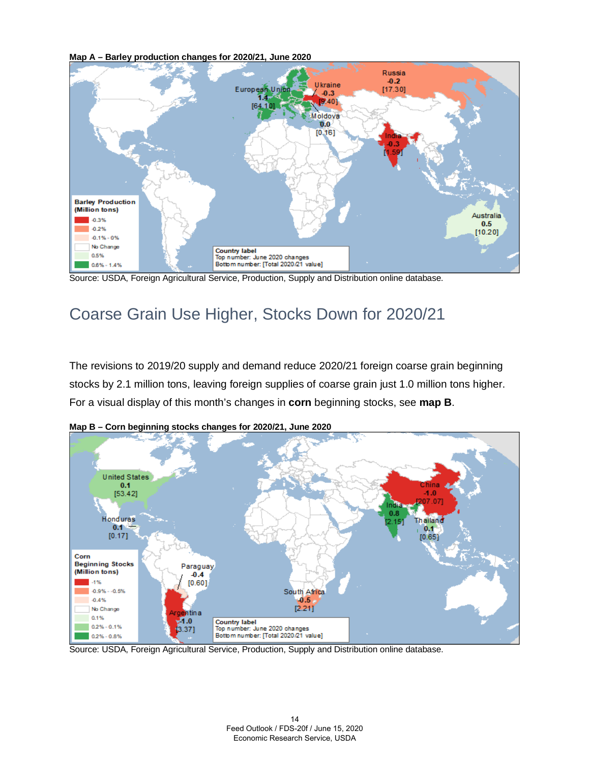**Map A – Barley production changes for 2020/21, June 2020**



Source: USDA, Foreign Agricultural Service, Production, Supply and Distribution online database.

### Coarse Grain Use Higher, Stocks Down for 2020/21

The revisions to 2019/20 supply and demand reduce 2020/21 foreign coarse grain beginning stocks by 2.1 million tons, leaving foreign supplies of coarse grain just 1.0 million tons higher. For a visual display of this month's changes in **corn** beginning stocks, see **map B**.



**Map B – Corn beginning stocks changes for 2020/21, June 2020**

Source: USDA, Foreign Agricultural Service, Production, Supply and Distribution online database.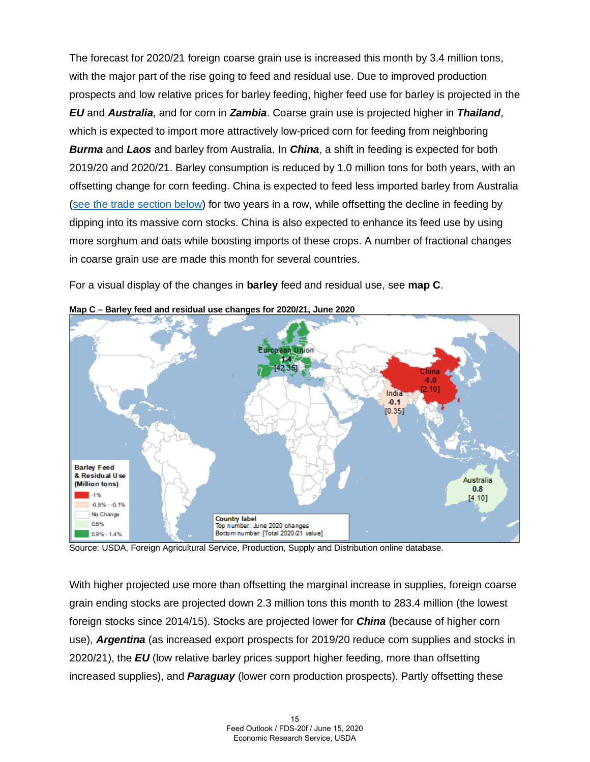The forecast for 2020/21 foreign coarse grain use is increased this month by 3.4 million tons, with the major part of the rise going to feed and residual use. Due to improved production prospects and low relative prices for barley feeding, higher feed use for barley is projected in the *EU* and *Australia*, and for corn in *Zambia*. Coarse grain use is projected higher in *Thailand*, which is expected to import more attractively low-priced corn for feeding from neighboring *Burma* and *Laos* and barley from Australia. In *China*, a shift in feeding is expected for both 2019/20 and 2020/21. Barley consumption is reduced by 1.0 million tons for both years, with an offsetting change for corn feeding. China is expected to feed less imported barley from Australia [\(see the trade section below\)](#page-16-0) for two years in a row, while offsetting the decline in feeding by dipping into its massive corn stocks. China is also expected to enhance its feed use by using more sorghum and oats while boosting imports of these crops. A number of fractional changes in coarse grain use are made this month for several countries.

For a visual display of the changes in **barley** feed and residual use, see **map C**.



**Map C – Barley feed and residual use changes for 2020/21, June 2020**

Source: USDA, Foreign Agricultural Service, Production, Supply and Distribution online database.

With higher projected use more than offsetting the marginal increase in supplies, foreign coarse grain ending stocks are projected down 2.3 million tons this month to 283.4 million (the lowest foreign stocks since 2014/15). Stocks are projected lower for *China* (because of higher corn use), *Argentina* (as increased export prospects for 2019/20 reduce corn supplies and stocks in 2020/21), the *EU* (low relative barley prices support higher feeding, more than offsetting increased supplies), and *Paraguay* (lower corn production prospects). Partly offsetting these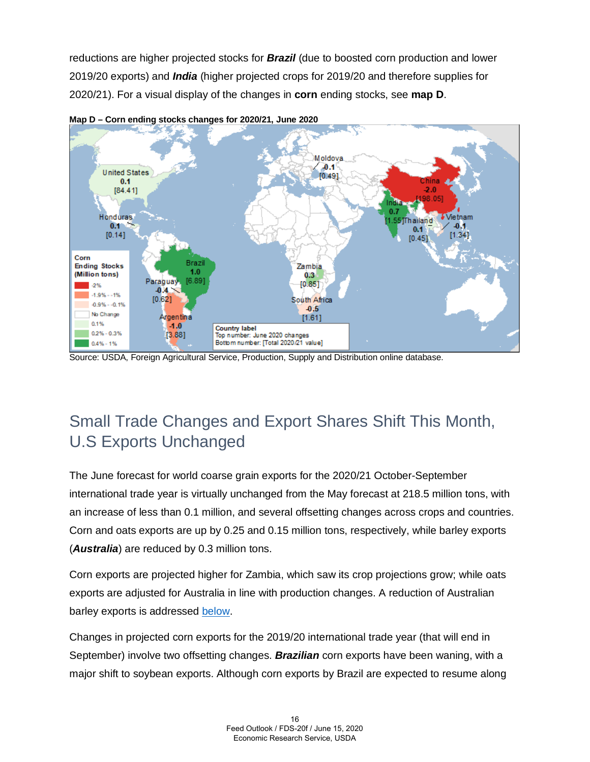reductions are higher projected stocks for *Brazil* (due to boosted corn production and lower 2019/20 exports) and *India* (higher projected crops for 2019/20 and therefore supplies for 2020/21). For a visual display of the changes in **corn** ending stocks, see **map D**.





Source: USDA, Foreign Agricultural Service, Production, Supply and Distribution online database.

# Small Trade Changes and Export Shares Shift This Month, U.S Exports Unchanged

The June forecast for world coarse grain exports for the 2020/21 October-September international trade year is virtually unchanged from the May forecast at 218.5 million tons, with an increase of less than 0.1 million, and several offsetting changes across crops and countries. Corn and oats exports are up by 0.25 and 0.15 million tons, respectively, while barley exports (*Australia*) are reduced by 0.3 million tons.

Corn exports are projected higher for Zambia, which saw its crop projections grow; while oats exports are adjusted for Australia in line with production changes. A reduction of Australian barley exports is addressed [below.](#page-16-0)

Changes in projected corn exports for the 2019/20 international trade year (that will end in September) involve two offsetting changes. *Brazilian* corn exports have been waning, with a major shift to soybean exports. Although corn exports by Brazil are expected to resume along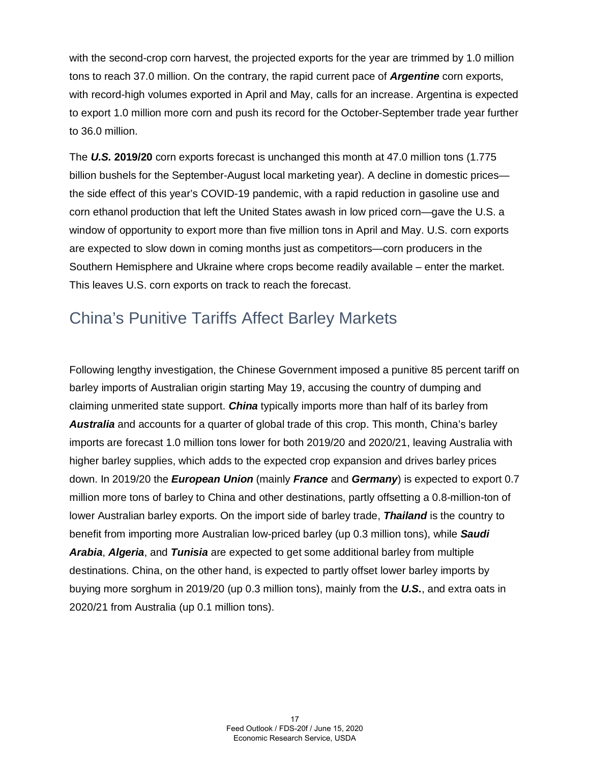with the second-crop corn harvest, the projected exports for the year are trimmed by 1.0 million tons to reach 37.0 million. On the contrary, the rapid current pace of *Argentine* corn exports, with record-high volumes exported in April and May, calls for an increase. Argentina is expected to export 1.0 million more corn and push its record for the October-September trade year further to 36.0 million.

The *U.S.* **2019/20** corn exports forecast is unchanged this month at 47.0 million tons (1.775 billion bushels for the September-August local marketing year). A decline in domestic prices the side effect of this year's COVID-19 pandemic, with a rapid reduction in gasoline use and corn ethanol production that left the United States awash in low priced corn—gave the U.S. a window of opportunity to export more than five million tons in April and May. U.S. corn exports are expected to slow down in coming months just as competitors—corn producers in the Southern Hemisphere and Ukraine where crops become readily available – enter the market. This leaves U.S. corn exports on track to reach the forecast.

#### <span id="page-16-0"></span>China's Punitive Tariffs Affect Barley Markets

Following lengthy investigation, the Chinese Government imposed a punitive 85 percent tariff on barley imports of Australian origin starting May 19, accusing the country of dumping and claiming unmerited state support. *China* typically imports more than half of its barley from *Australia* and accounts for a quarter of global trade of this crop. This month, China's barley imports are forecast 1.0 million tons lower for both 2019/20 and 2020/21, leaving Australia with higher barley supplies, which adds to the expected crop expansion and drives barley prices down. In 2019/20 the *European Union* (mainly *France* and *Germany*) is expected to export 0.7 million more tons of barley to China and other destinations, partly offsetting a 0.8-million-ton of lower Australian barley exports. On the import side of barley trade, *Thailand* is the country to benefit from importing more Australian low-priced barley (up 0.3 million tons), while *Saudi Arabia*, *Algeria*, and *Tunisia* are expected to get some additional barley from multiple destinations. China, on the other hand, is expected to partly offset lower barley imports by buying more sorghum in 2019/20 (up 0.3 million tons), mainly from the *U.S.*, and extra oats in 2020/21 from Australia (up 0.1 million tons).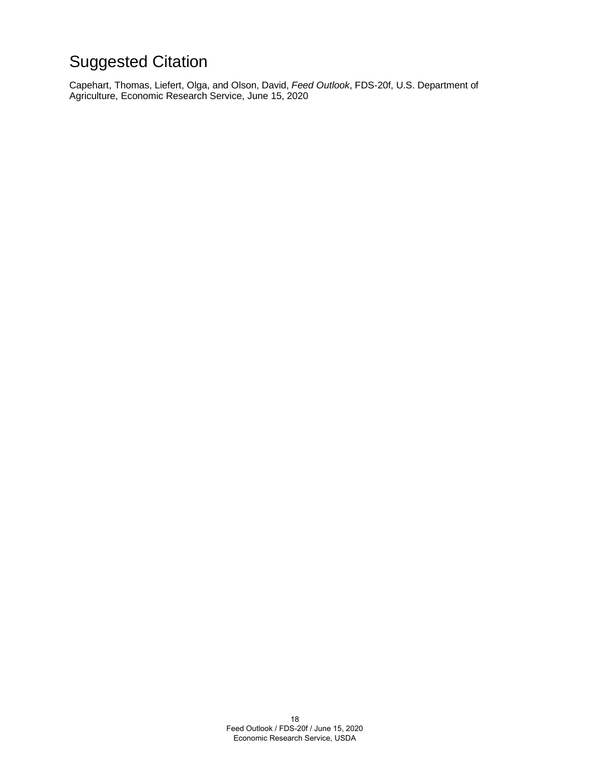# Suggested Citation

Capehart, Thomas, Liefert, Olga, and Olson, David, *Feed Outlook*, FDS-20f, U.S. Department of Agriculture, Economic Research Service, June 15, 2020